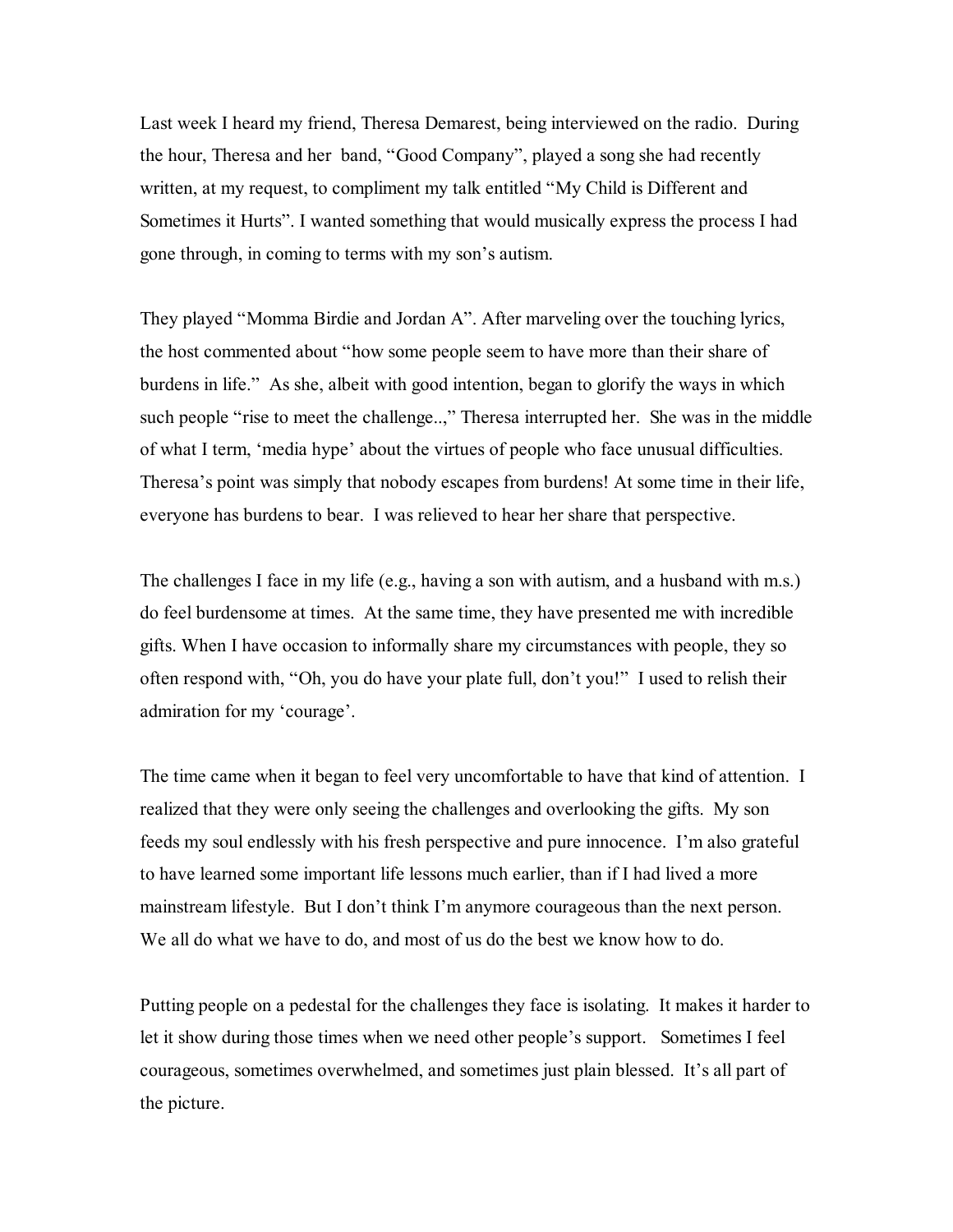Last week I heard my friend, Theresa Demarest, being interviewed on the radio. During the hour, Theresa and her band, "Good Company", played a song she had recently written, at my request, to compliment my talk entitled "My Child is Different and Sometimes it Hurts". I wanted something that would musically express the process I had gone through, in coming to terms with my son's autism.

They played "Momma Birdie and Jordan A". After marveling over the touching lyrics, the host commented about "how some people seem to have more than their share of burdens in life." As she, albeit with good intention, began to glorify the ways in which such people "rise to meet the challenge..," Theresa interrupted her. She was in the middle of what I term, 'media hype' about the virtues of people who face unusual difficulties. Theresa's point was simply that nobody escapes from burdens! At some time in their life, everyone has burdens to bear. I was relieved to hear her share that perspective.

The challenges I face in my life (e.g., having a son with autism, and a husband with m.s.) do feel burdensome at times. At the same time, they have presented me with incredible gifts. When I have occasion to informally share my circumstances with people, they so often respond with, "Oh, you do have your plate full, don't you!" I used to relish their admiration for my 'courage'.

The time came when it began to feel very uncomfortable to have that kind of attention. I realized that they were only seeing the challenges and overlooking the gifts. My son feeds my soul endlessly with his fresh perspective and pure innocence. I'm also grateful to have learned some important life lessons much earlier, than if I had lived a more mainstream lifestyle. But I don't think I'm anymore courageous than the next person. We all do what we have to do, and most of us do the best we know how to do.

Putting people on a pedestal for the challenges they face is isolating. It makes it harder to let it show during those times when we need other people's support. Sometimes I feel courageous, sometimes overwhelmed, and sometimes just plain blessed. It's all part of the picture.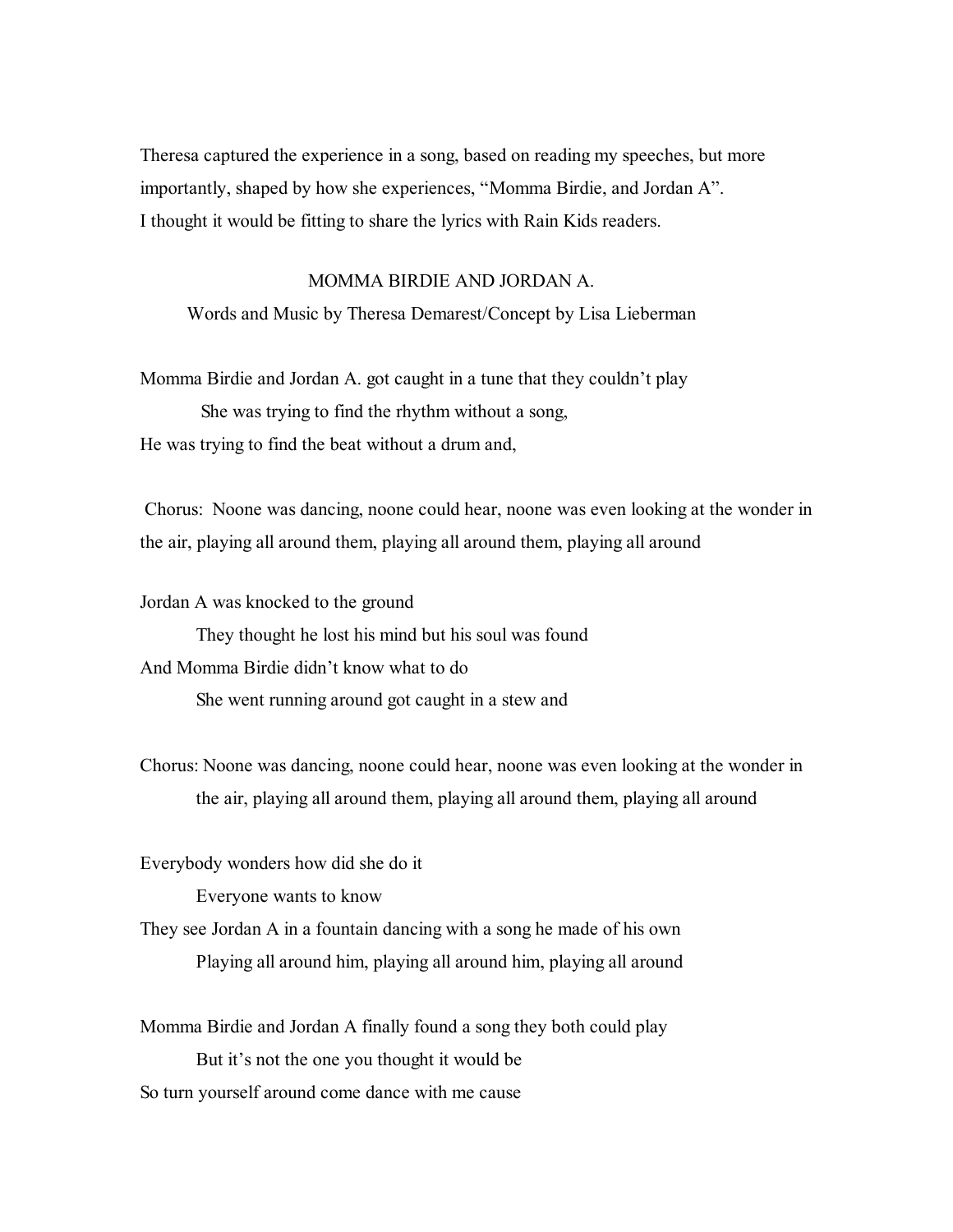Theresa captured the experience in a song, based on reading my speeches, but more importantly, shaped by how she experiences, "Momma Birdie, and Jordan A". I thought it would be fitting to share the lyrics with Rain Kids readers.

## MOMMA BIRDIE AND JORDAN A.

Words and Music by Theresa Demarest/Concept by Lisa Lieberman

Momma Birdie and Jordan A. got caught in a tune that they couldn't play She was trying to find the rhythm without a song, He was trying to find the beat without a drum and,

 Chorus: Noone was dancing, noone could hear, noone was even looking at the wonder in the air, playing all around them, playing all around them, playing all around

Jordan A was knocked to the ground They thought he lost his mind but his soul was found And Momma Birdie didn't know what to do She went running around got caught in a stew and

Chorus: Noone was dancing, noone could hear, noone was even looking at the wonder in the air, playing all around them, playing all around them, playing all around

Everybody wonders how did she do it

Everyone wants to know

They see Jordan A in a fountain dancing with a song he made of his own Playing all around him, playing all around him, playing all around

Momma Birdie and Jordan A finally found a song they both could play But it's not the one you thought it would be So turn yourself around come dance with me cause